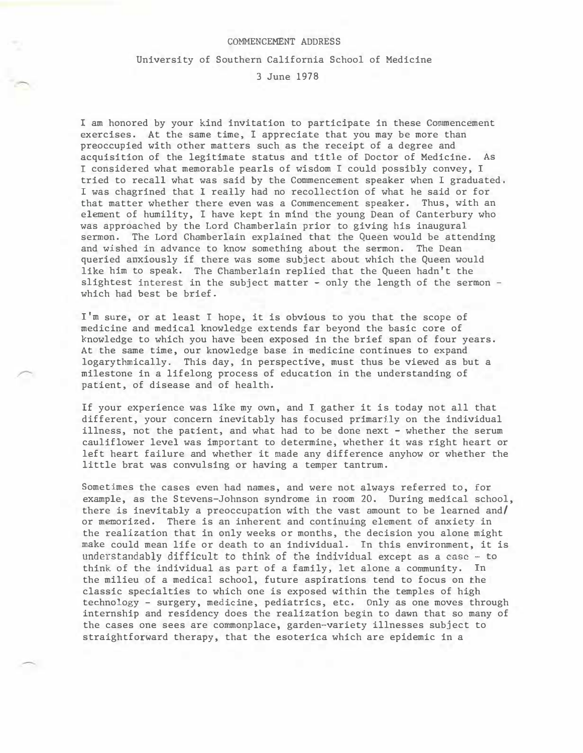## COMMENCEMENT ADDRESS

## University of Southern California School of Medicine

## 3 June 1978

I am honored by your kind invitation to participate in these Commencement exercises. At the same time, I appreciate that you may be more than preoccupied with other matters such as the receipt of a degree and acquisition of the legitimate status and title of Doctor of Medicine. As I considered what memorable pearls of wisdom I could possibly convey, I tried to recall what was said by the Commencement speaker when I graduated. I was chagrined that I really had no recollection of what he said or for that matter whether there even was a Commencement speaker. Thus, with an element of humility, I have kept in mind the young Dean of Canterbury who was approached by the Lord Chamberlain prior to giving his inaugural sermon. The Lord Chamberlain explained that the Queen would be attending and wished in advance to know something about the sermon. The Dean queried anxiously if there was some subject about which the Queen would like him to speak. The Chamberlain replied that the Queen hadn't the slightest interest in the subject matter - only the length of the sermon which had best be brief.

I'm sure, or at least I hope, it is obvious to you that the scope of medicine and medical knowledge extends far beyond the basic core of knowledge to which you have been exposed in the brief span of four years. At the same time, our knowledge base in medicine continues to expand logarythmically. This day, in perspective, must thus be viewed as but a milestone in a lifelong process of education in the understanding of patient, of disease and of health.

If your experience was like my own, and I gather it is today not all that different, your concern inevitably has focused primarjiy on the individual illness, not the patient, and what had to be done next - whether the serum cauliflower level was important to determine, whether it was right heart or left heart failure and whether it made any difference anyhow or whether the little brat was convulsing or having a temper tantrum.

Sometimes the cases even had names, and were not always referred to, for example, as the Stevens-Johnson syndrome in room 20. During medical school, there is inevitably a preoccupation with the vast amount to be learned and/ or memorized. There is an inherent and continuing element of anxiety in the realization that in only weeks or months, the decision you alone might make could mean life or death to an individual. In this environment, it is understandably difficult to think of the individual except as a case - to think of the individual as part of a family, let alone a community. In the milieu of a medical school, future aspirations tend to focus on the classic specialties to which one is exposed within the temples of high technology - surgery, medicine, pediatrics, etc. Only as one moves through internship and residency does the realization begin to dawn that so many of the cases one sees are commonplace, garden-variety illnesses subject to straightforward therapy, that the esoterica which are epidemic in a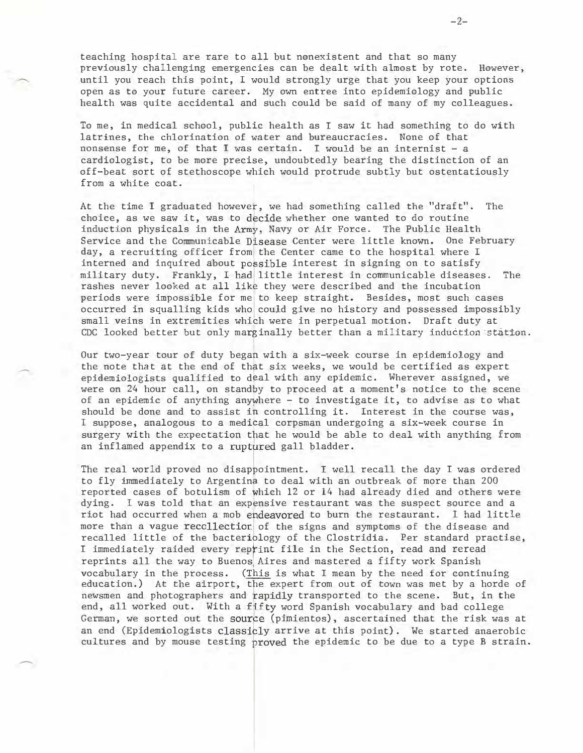teaching hospital are rare to all but nonexistent and that so many previously challenging emergencies can be dealt with almost by rote. However, until you reach this point, I would strongly urge that you keep your options open as to your future career. My own entree into epidemiology and public health was quite accidental and such could be said of many of my colleagues.

To me, in medical school, public health as I saw it had something to do with latrines, the chlorination of water and bureaucracies. None of that nonsense for me, of that I was certain. I would be an internist - a cardiologist, to be more precise, undoubtedly bearing the distinction of an off-beat sort of stethoscope which would protrude subtly but ostentatiously from a white coat.

At the time I graduated however, we had something called the "draft". The choice, as we saw it, was to decide whether one wanted to do routine Induction physicals in the Army, Navy or Air Force. The Public Health Service and the Communicable Disease Center were little known. One February day, a recruiting officer from the Center came to the hospital where I interned and inquired about possible interest in signing on to satisfy military duty. Frankly, I had little interest in communicable diseases. The rashes never looked at all like they were described and the incubation periods were impossible for me to keep straight. Besides, most such cases occurred in squalling kids who could give no history and possessed impossibly small veins in extremities which were in perpetual motion. Draft duty at CDC looked better but only marginally better than a military induction station.

Our two-year tour of duty began with a six-week course in epidemiology and the note that at the end of that six weeks, we would be certified as expert epidemiologists qualified to <sup>d</sup>�al with any epidemic. Wherever assigned, we were on 24 hour call, on standby to proceed at a moment's notice to the scene of an epidemic of anything anywhere - to investigate it, to advise as to what should be done and to assist in controlling it. Interest in the course was, I suppose, analogous to a medical corpsman undergoing a six-week course in surgery with the expectation that he would be able to deal with anything from an inflamed appendix to a ruptured gall bladder.

The real world proved no disappointment. I well recall the day I was ordered to fly immediately to Argentina to deal with an outbreak of more than 200 reported cases of botulism of which 12 or 14 had already died and others were dying. I was told that an expensive restaurant was the suspect source and a riot had occurred when a mob ehdeavored to burn the restaurant. 1 had little more than a vague recollection of the signs and symptoms of the disease and recalled little of the bacteriology of the Clostridia. Per standard practise, I immediately raided every reprint file in the Section, read and reread reprints all the way to Buenos Aires and mastered a fifty work Spanish vocabulary in the process. (T�is is what I mean by the need for continuing education.) At the airport, the expert from out of town was met by a horde of newsmen and photographers and rapidly transported to the scene. But, in the end, all worked out. With a fifty word Spanish vocabulary and bad college German, we sorted out the source (pimientos), ascertained that the risk was at an end (Epidemiologists classicly arrive at this point). We started anaerobic cultures and by mouse testing proved the epidemic to be due to a type B strain.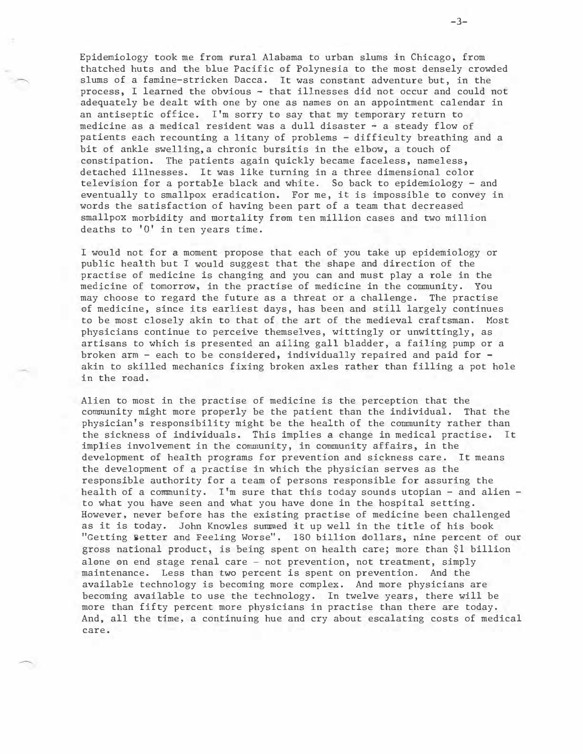Epidemiology took me from rural Alabama to urban slums in Chicago, from thatched huts and the blue Pacific of Polynesia to the most densely crowded slums of a famine-stricken Dacca. It was constant adventure but, in the process, I learned the obvious - that illnesses did not occur and could not adequately be dealt with one by one as names on an appointment calendar in an antiseptic office. I'm sorry to say that my temporary return to medicine as a medical resident was a dull disaster - a steady flow of patients each recounting a litany of problems - difficulty breathing and a bit of ankle swelling,a chronic bursitis in the elbow, a touch of constipation. The patients again quickly became faceless, nameless, detached illnesses. It was like turning in a three dimensional color television for a portable black and white. So back to epidemiology - and eventually to smallpox eradication. For me, it is impossible to convey in words the satisfaction of having been part of a team that decreased smallpox morbidity and mortality from ten million cases and two million deaths to 'O' in ten years time.

I would not for a moment propose that each of you take up epidemiology or public health but I would suggest that the shape and direction of the practise of medicine is changing and you can and must play a role in the medicine of tomorrow, in the practise of medicine in the community. You may choose to regard the future as a threat or a challenge. The practise of medicine, since its earliest days, has been and still largely continues to be most closely akin to that of the art of the medieval craftsman. Most physicians continue to perceive themselves, wittingly or unwittingly, as artisans to which is presented an ailing gall bladder, a failing pump or a broken arm - each to be considered, individually repaired and paid for akin to skilled mechanics fixing broken axles rather than filling a pot hole in the road.

Alien to most in the practise of medicine is the perception that the community might more properly be the patient than the individual. That the physician's responsibility might be the health of the community rather than the sickness of individuals. This implies a change in medical practise. It implies involvement in the community, in community affairs, in the development of health programs for prevention and sickness care. It means the development of a practise in which the physician serves as the responsible authority for a team of persons responsible for assuring the health of a community. I'm sure that this today sounds utopian - and alien to what you have seen and what you have done in the hospital setting. However, never before has the existing practise of medicine been challenged as it is today. John Knowles summed it up well in the title of his book "Getting Better and Feeling Worse". 180 billion dollars, nine percent of our gross national product, is being spent on health care; more than \$1 billion alone on end stage renal care - not prevention, not treatment, simply maintenance. Less than two percent is spent on prevention. And the available technology is becoming more complex. And more physicians are becoming available to use the technology. In twelve years, there will be more than fifty percent more physicians in practise than there are today. And, all the time, a continuing hue and cry about escalating costs of medical care.